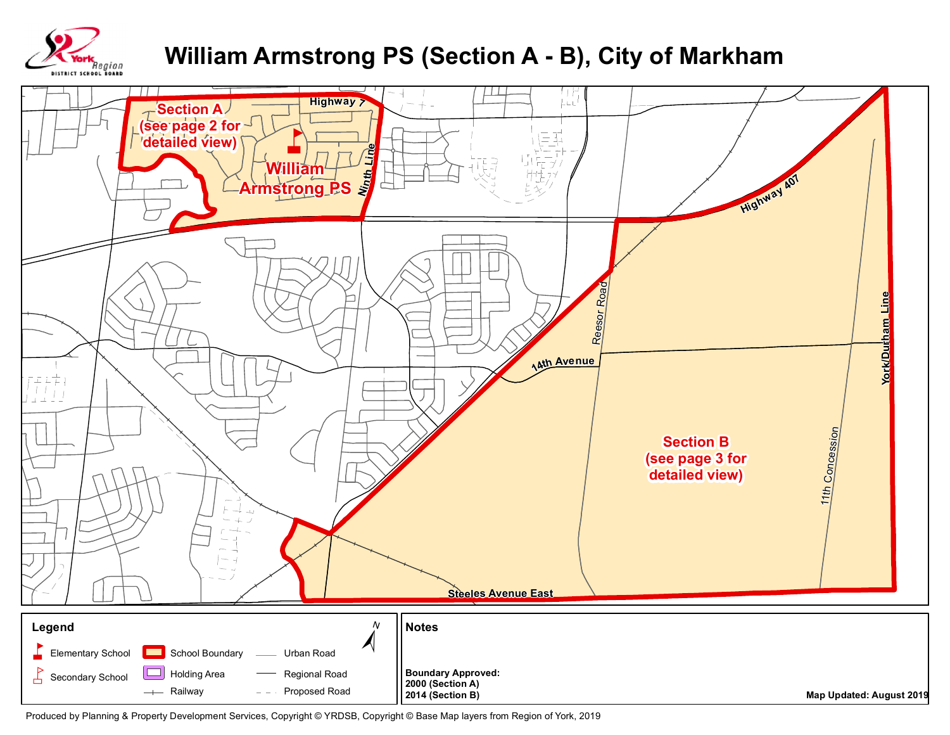

## William Armstrong PS (Section A - B), City of Markham



Produced by Planning & Property Development Services, Copyright @ YRDSB, Copyright @ Base Map layers from Region of York, 2019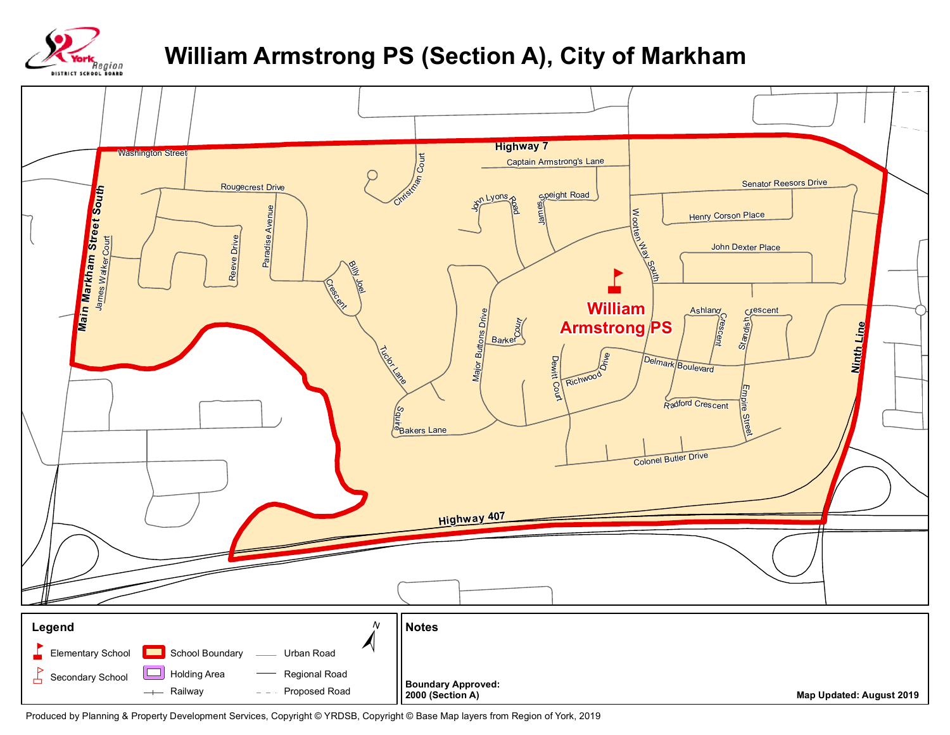

## **William Armstrong PS (Section A), City of Markham**



Produced by Planning & Property Development Services, Copyright © YRDSB, Copyright © Base Map layers from Region of York, 2019